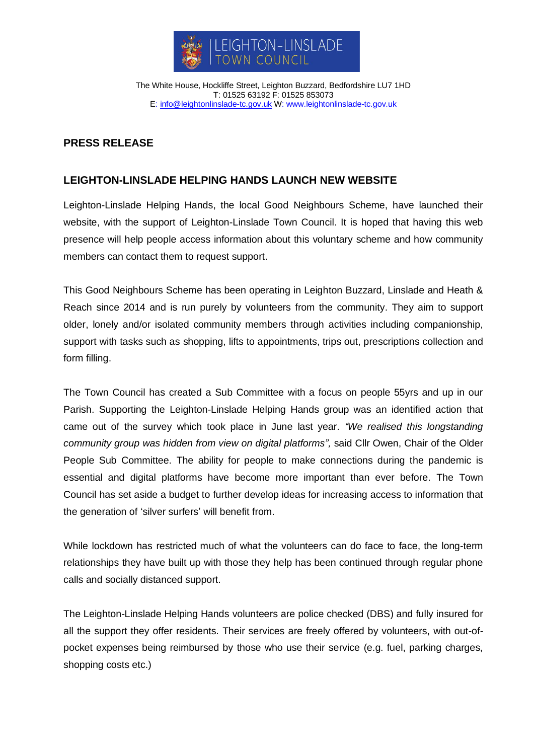

The White House, Hockliffe Street, Leighton Buzzard, Bedfordshire LU7 1HD T: 01525 63192 F: 01525 853073 E: [info@leightonlinslade-tc.gov.uk](mailto:bookings@leightonlinslade-tc.gov.uk) W: [www.leightonlinslade-tc.gov.uk](http://www.leightonlinslade-tc.gov.uk/)

## **PRESS RELEASE**

## **LEIGHTON-LINSLADE HELPING HANDS LAUNCH NEW WEBSITE**

Leighton-Linslade Helping Hands, the local Good Neighbours Scheme, have launched their website, with the support of Leighton-Linslade Town Council. It is hoped that having this web presence will help people access information about this voluntary scheme and how community members can contact them to request support.

This Good Neighbours Scheme has been operating in Leighton Buzzard, Linslade and Heath & Reach since 2014 and is run purely by volunteers from the community. They aim to support older, lonely and/or isolated community members through activities including companionship, support with tasks such as shopping, lifts to appointments, trips out, prescriptions collection and form filling.

The Town Council has created a Sub Committee with a focus on people 55yrs and up in our Parish. Supporting the Leighton-Linslade Helping Hands group was an identified action that came out of the survey which took place in June last year. *"We realised this longstanding community group was hidden from view on digital platforms",* said Cllr Owen, Chair of the Older People Sub Committee. The ability for people to make connections during the pandemic is essential and digital platforms have become more important than ever before. The Town Council has set aside a budget to further develop ideas for increasing access to information that the generation of 'silver surfers' will benefit from.

While lockdown has restricted much of what the volunteers can do face to face, the long-term relationships they have built up with those they help has been continued through regular phone calls and socially distanced support.

The Leighton-Linslade Helping Hands volunteers are police checked (DBS) and fully insured for all the support they offer residents. Their services are freely offered by volunteers, with out-ofpocket expenses being reimbursed by those who use their service (e.g. fuel, parking charges, shopping costs etc.)